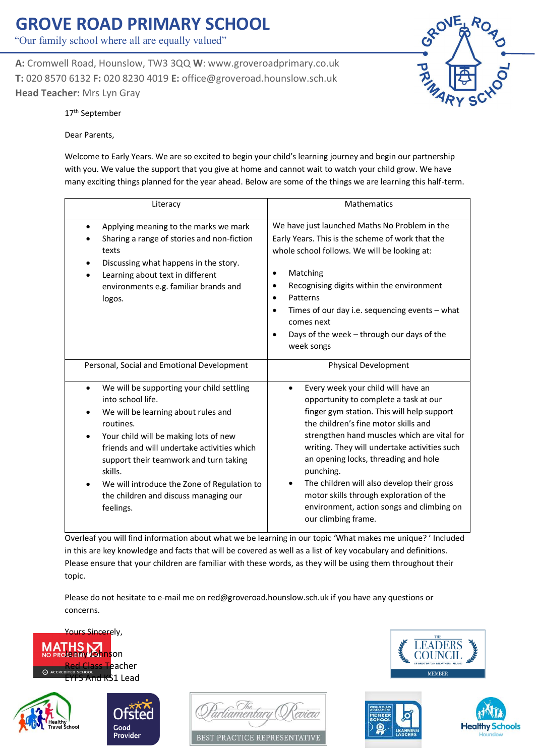"Our family school where all are equally valued"

**A:** Cromwell Road, Hounslow, TW3 3QQ **W**: www.groveroadprimary.co.uk **T:** 020 8570 6132 **F:** 020 8230 4019 **E:** office@groveroad.hounslow.sch.uk **Head Teacher:** Mrs Lyn Gray



17<sup>th</sup> September

Dear Parents,

Welcome to Early Years. We are so excited to begin your child's learning journey and begin our partnership with you. We value the support that you give at home and cannot wait to watch your child grow. We have many exciting things planned for the year ahead. Below are some of the things we are learning this half-term.

| Literacy                                                                                                                                                                                                                                                                                                                                                                          | <b>Mathematics</b>                                                                                                                                                                                                                                                                                                                                                                                                                                                                 |
|-----------------------------------------------------------------------------------------------------------------------------------------------------------------------------------------------------------------------------------------------------------------------------------------------------------------------------------------------------------------------------------|------------------------------------------------------------------------------------------------------------------------------------------------------------------------------------------------------------------------------------------------------------------------------------------------------------------------------------------------------------------------------------------------------------------------------------------------------------------------------------|
| Applying meaning to the marks we mark<br>$\bullet$<br>Sharing a range of stories and non-fiction<br>texts<br>Discussing what happens in the story.<br>Learning about text in different<br>environments e.g. familiar brands and<br>logos.                                                                                                                                         | We have just launched Maths No Problem in the<br>Early Years. This is the scheme of work that the<br>whole school follows. We will be looking at:<br>Matching<br>٠<br>Recognising digits within the environment<br>٠<br>Patterns<br>$\bullet$<br>Times of our day i.e. sequencing events - what<br>٠<br>comes next<br>Days of the week - through our days of the<br>week songs                                                                                                     |
| Personal, Social and Emotional Development                                                                                                                                                                                                                                                                                                                                        | <b>Physical Development</b>                                                                                                                                                                                                                                                                                                                                                                                                                                                        |
| We will be supporting your child settling<br>$\bullet$<br>into school life.<br>We will be learning about rules and<br>routines.<br>Your child will be making lots of new<br>friends and will undertake activities which<br>support their teamwork and turn taking<br>skills.<br>We will introduce the Zone of Regulation to<br>the children and discuss managing our<br>feelings. | Every week your child will have an<br>opportunity to complete a task at our<br>finger gym station. This will help support<br>the children's fine motor skills and<br>strengthen hand muscles which are vital for<br>writing. They will undertake activities such<br>an opening locks, threading and hole<br>punching.<br>The children will also develop their gross<br>motor skills through exploration of the<br>environment, action songs and climbing on<br>our climbing frame. |

Overleaf you will find information about what we be learning in our topic 'What makes me unique? ' Included in this are key knowledge and facts that will be covered as well as a list of key vocabulary and definitions. Please ensure that your children are familiar with these words, as they will be using them throughout their topic.

Please do not hesitate to e-mail me on red@groveroad.hounslow.sch.uk if you have any questions or concerns.









BEST PRACTICE REPRESENTATIVE